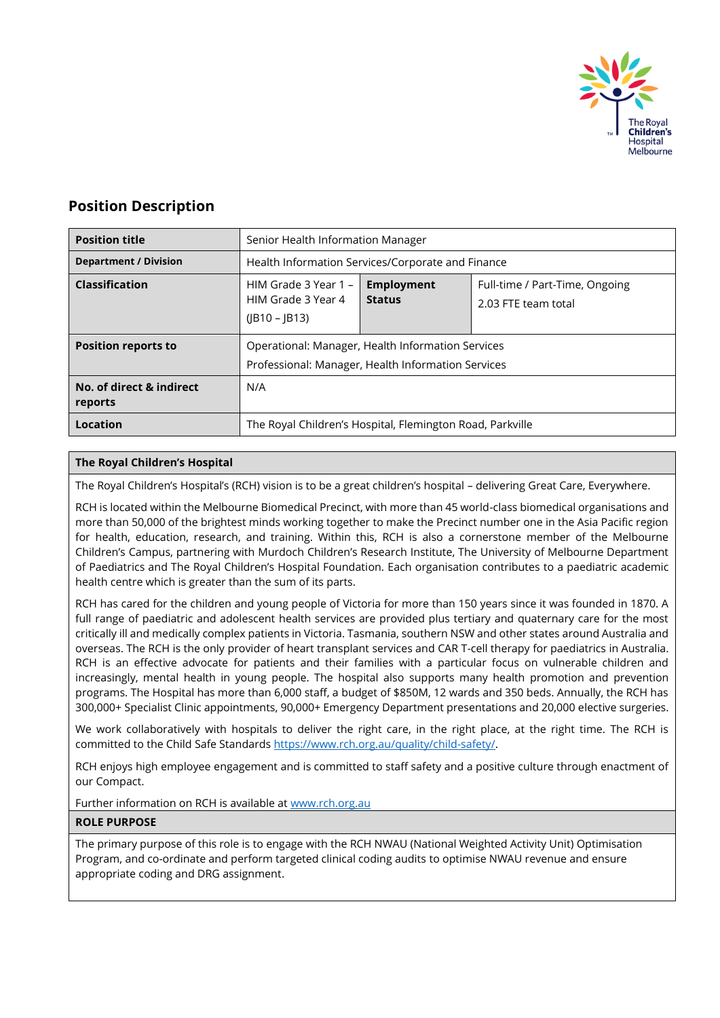

# **Position Description**

| <b>Position title</b>               | Senior Health Information Manager                                                                       |                                    |                                                       |
|-------------------------------------|---------------------------------------------------------------------------------------------------------|------------------------------------|-------------------------------------------------------|
| <b>Department / Division</b>        | Health Information Services/Corporate and Finance                                                       |                                    |                                                       |
| <b>Classification</b>               | HIM Grade 3 Year 1 -<br>HIM Grade 3 Year 4<br>$(IB10 - IB13)$                                           | <b>Employment</b><br><b>Status</b> | Full-time / Part-Time, Ongoing<br>2.03 FTE team total |
| <b>Position reports to</b>          | Operational: Manager, Health Information Services<br>Professional: Manager, Health Information Services |                                    |                                                       |
| No. of direct & indirect<br>reports | N/A                                                                                                     |                                    |                                                       |
| Location                            | The Royal Children's Hospital, Flemington Road, Parkville                                               |                                    |                                                       |

# **The Royal Children's Hospital**

The Royal Children's Hospital's (RCH) vision is to be a great children's hospital – delivering Great Care, Everywhere.

RCH is located within the Melbourne Biomedical Precinct, with more than 45 world-class biomedical organisations and more than 50,000 of the brightest minds working together to make the Precinct number one in the Asia Pacific region for health, education, research, and training. Within this, RCH is also a cornerstone member of the Melbourne Children's Campus, partnering with Murdoch Children's Research Institute, The University of Melbourne Department of Paediatrics and The Royal Children's Hospital Foundation. Each organisation contributes to a paediatric academic health centre which is greater than the sum of its parts.

RCH has cared for the children and young people of Victoria for more than 150 years since it was founded in 1870. A full range of paediatric and adolescent health services are provided plus tertiary and quaternary care for the most critically ill and medically complex patients in Victoria. Tasmania, southern NSW and other states around Australia and overseas. The RCH is the only provider of heart transplant services and CAR T-cell therapy for paediatrics in Australia. RCH is an effective advocate for patients and their families with a particular focus on vulnerable children and increasingly, mental health in young people. The hospital also supports many health promotion and prevention programs. The Hospital has more than 6,000 staff, a budget of \$850M, 12 wards and 350 beds. Annually, the RCH has 300,000+ Specialist Clinic appointments, 90,000+ Emergency Department presentations and 20,000 elective surgeries.

We work collaboratively with hospitals to deliver the right care, in the right place, at the right time. The RCH is committed to the Child Safe Standards [https://www.rch.org.au/quality/child-safety/.](https://www.rch.org.au/quality/child-safety/) 

RCH enjoys high employee engagement and is committed to staff safety and a positive culture through enactment of our Compact.

Further information on RCH is available at [www.rch.org.au](http://www.rch.org.au/)

#### **ROLE PURPOSE**

The primary purpose of this role is to engage with the RCH NWAU (National Weighted Activity Unit) Optimisation Program, and co-ordinate and perform targeted clinical coding audits to optimise NWAU revenue and ensure appropriate coding and DRG assignment.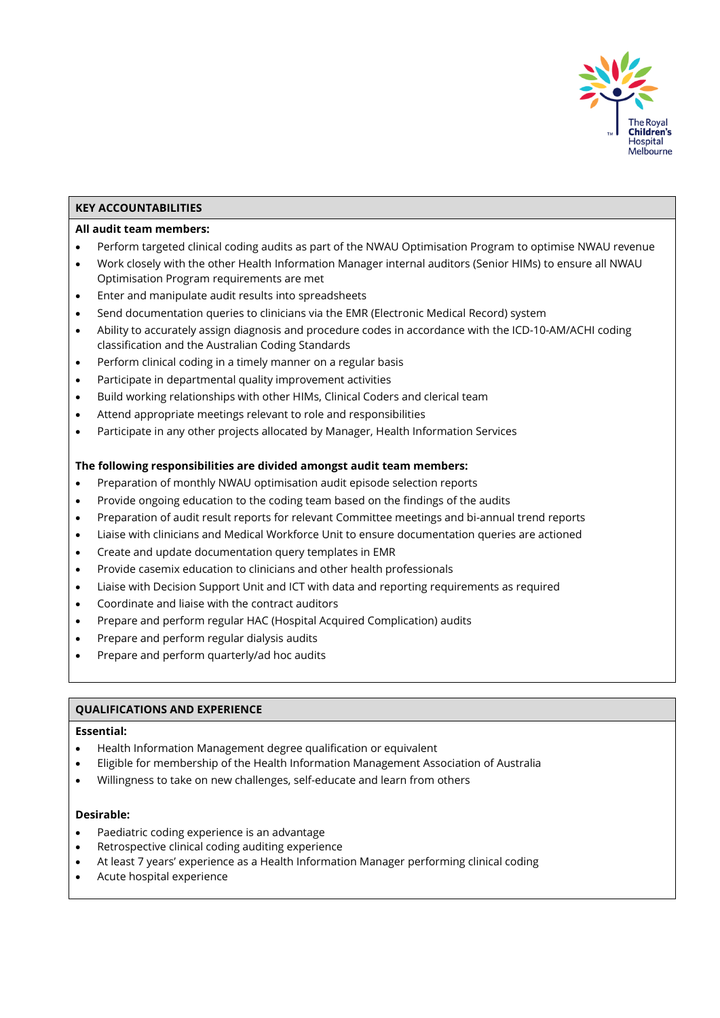

## **KEY ACCOUNTABILITIES**

## **All audit team members:**

- Perform targeted clinical coding audits as part of the NWAU Optimisation Program to optimise NWAU revenue
- Work closely with the other Health Information Manager internal auditors (Senior HIMs) to ensure all NWAU Optimisation Program requirements are met
- Enter and manipulate audit results into spreadsheets
- Send documentation queries to clinicians via the EMR (Electronic Medical Record) system
- Ability to accurately assign diagnosis and procedure codes in accordance with the ICD-10-AM/ACHI coding classification and the Australian Coding Standards
- Perform clinical coding in a timely manner on a regular basis
- Participate in departmental quality improvement activities
- Build working relationships with other HIMs, Clinical Coders and clerical team
- Attend appropriate meetings relevant to role and responsibilities
- Participate in any other projects allocated by Manager, Health Information Services

## **The following responsibilities are divided amongst audit team members:**

- Preparation of monthly NWAU optimisation audit episode selection reports
- Provide ongoing education to the coding team based on the findings of the audits
- Preparation of audit result reports for relevant Committee meetings and bi-annual trend reports
- Liaise with clinicians and Medical Workforce Unit to ensure documentation queries are actioned
- Create and update documentation query templates in EMR
- Provide casemix education to clinicians and other health professionals
- Liaise with Decision Support Unit and ICT with data and reporting requirements as required
- Coordinate and liaise with the contract auditors
- Prepare and perform regular HAC (Hospital Acquired Complication) audits
- Prepare and perform regular dialysis audits
- Prepare and perform quarterly/ad hoc audits

#### **QUALIFICATIONS AND EXPERIENCE**

#### **Essential:**

- Health Information Management degree qualification or equivalent
- Eligible for membership of the Health Information Management Association of Australia
- Willingness to take on new challenges, self-educate and learn from others

#### **Desirable:**

- Paediatric coding experience is an advantage
- Retrospective clinical coding auditing experience
- At least 7 years' experience as a Health Information Manager performing clinical coding
- Acute hospital experience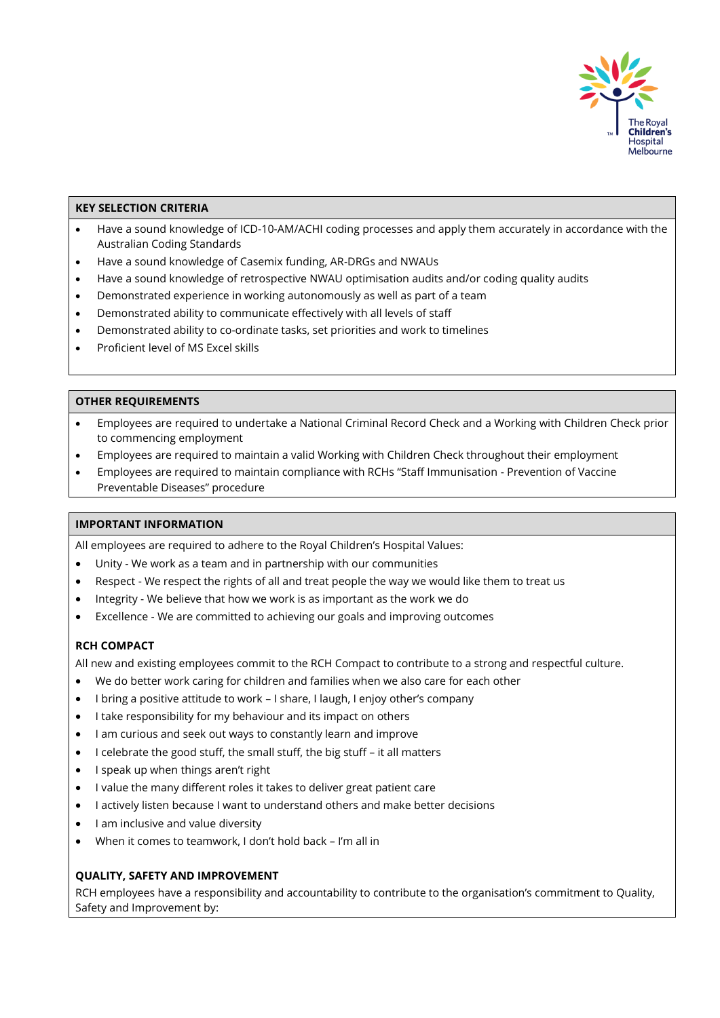

## **KEY SELECTION CRITERIA**

- Have a sound knowledge of ICD-10-AM/ACHI coding processes and apply them accurately in accordance with the Australian Coding Standards
- Have a sound knowledge of Casemix funding, AR-DRGs and NWAUs
- Have a sound knowledge of retrospective NWAU optimisation audits and/or coding quality audits
- Demonstrated experience in working autonomously as well as part of a team
- Demonstrated ability to communicate effectively with all levels of staff
- Demonstrated ability to co-ordinate tasks, set priorities and work to timelines
- Proficient level of MS Excel skills

#### **OTHER REQUIREMENTS**

- Employees are required to undertake a National Criminal Record Check and a Working with Children Check prior to commencing employment
- Employees are required to maintain a valid Working with Children Check throughout their employment
- Employees are required to maintain compliance with RCHs "Staff Immunisation Prevention of Vaccine Preventable Diseases" procedure

## **IMPORTANT INFORMATION**

All employees are required to adhere to the Royal Children's Hospital Values:

- Unity We work as a team and in partnership with our communities
- Respect We respect the rights of all and treat people the way we would like them to treat us
- Integrity We believe that how we work is as important as the work we do
- Excellence We are committed to achieving our goals and improving outcomes

# **RCH COMPACT**

All new and existing employees commit to the RCH Compact to contribute to a strong and respectful culture.

- We do better work caring for children and families when we also care for each other
- I bring a positive attitude to work I share, I laugh, I enjoy other's company
- I take responsibility for my behaviour and its impact on others
- I am curious and seek out ways to constantly learn and improve
- I celebrate the good stuff, the small stuff, the big stuff it all matters
- I speak up when things aren't right
- I value the many different roles it takes to deliver great patient care
- I actively listen because I want to understand others and make better decisions
- I am inclusive and value diversity
- When it comes to teamwork, I don't hold back I'm all in

# **QUALITY, SAFETY AND IMPROVEMENT**

RCH employees have a responsibility and accountability to contribute to the organisation's commitment to Quality, Safety and Improvement by: